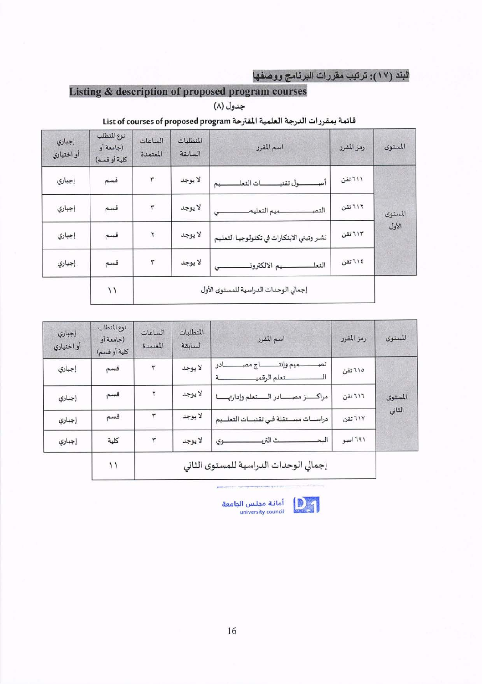# البند (١٧): ترتيب مقررات البرنامج ووصفها

# Listing & description of proposed program courses

جدول (٨)

# قائمة بمقررات الدرجة العلمية المقترحة List of courses of proposed program

| إجباري<br>أو اختياري | نوع المتطلب<br>(جامعة أو<br>كلية أو قسم) | الساعات<br>المعتمدة | المتطلبات<br>السابقة | اسم المقرر                                | رمز المقرر | المستوى |
|----------------------|------------------------------------------|---------------------|----------------------|-------------------------------------------|------------|---------|
| إجباري               | قسم                                      | ۳                   | لا يوجد              | بات التعل<br>ول تقنيـ<br>صد<br>یم         | ٦١١ تقن    |         |
| إجباري               | قسم                                      | ٣                   | لا يوجد              | ميم التعليم<br>التص                       | ٦١٢ تقن    | المستوى |
| إجباري               | قسم                                      | ۲                   | لا يوجد              | نشر وتبني الابتكارات في تكنولوجيا التعليم | ٦١٣ تقن    | الأول   |
| إجباري               | قسم                                      | ٣                   | لا يوجد              | ـيم الالكتروذ<br>التعل                    | ٢١٤ تقن    |         |
|                      | ۱۱                                       |                     |                      | إجمالي الوحدات الدراسية للمستوى الأول     |            |         |

| إجباري<br>أو اختياري | نوع المتطلب<br>(جامعة أو<br>كلية أو قسم) | الساعات<br>المعتمدة | المتطلبات<br>السابقة | اسم المقرر                             | رمز المقرر | المستوى |
|----------------------|------------------------------------------|---------------------|----------------------|----------------------------------------|------------|---------|
| إجباري               | قسم                                      | ٣                   | لا يوجد              | ميم وإنت<br>تص<br>در<br>لتعلم الرقميـ  | ٦١٥ تقن    |         |
| إجباري               | قسم                                      |                     | لا يوجد              | مراكسز مصادر الستعلم وإدارته           | 711 تقن    | المستوى |
| إجباري               | قسم                                      |                     | لا يوجد              | دراسات مستقلة في تقنيسات التعليم       | ٦١٧ تقن    | الثاني  |
| إجباري               | كلية                                     | ٣                   | لا يوجد              | البح<br>ے الترد<br>وی                  | ۶۹۱ اصو    |         |
|                      | ۱۱                                       |                     |                      | إجمالي الوحدات الدراسية للمستوى الثاني |            |         |



أمانة مجلس الجامعة<br>university council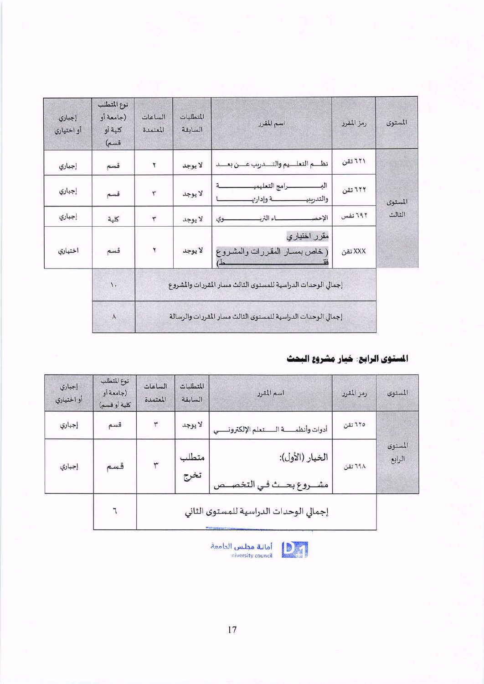| إجباري<br>أو اختياري | نوع المتطلب<br>(جامعة أو<br>كلية أو<br>قسم) | الساعات<br>المعتمدة | المتطلبات<br>السابقة | اسم المقرر                                                    | رمز المقرر | المستوى |  |
|----------------------|---------------------------------------------|---------------------|----------------------|---------------------------------------------------------------|------------|---------|--|
| إجباري               | قسم                                         | ۲                   | لا يوجد              | نظم التعليم والتسدريب عسن بعسد                                | ٦٢١ تقن    |         |  |
| إجباري               | قسم                                         | ٣                   | لا يوجد              | الب<br>لرامج التعليمي<br>والتدربيب<br>نة وإدارتهـ             | ٦٢٢ تقن    | المستوى |  |
| إجباري               | كلية                                        | ٣                   | لا يوجد              | ـاء التربـ<br>الإحصا<br>وي                                    | ٦٩٢ نفس    | الثالث  |  |
| اختياري              | قسم                                         | ۲                   | لا يوجد              | مقرر اختياري<br>( خاص بمسـار المقررات والمشـروع               | XXX تقن    |         |  |
|                      | $\lambda$ .                                 |                     |                      | إجمالي الوحدات الدراسية للمستوى الثالث مسار المقررات والمشروع |            |         |  |
|                      | ٨                                           |                     |                      | إجمالي الوحدات الدراسية للمستوى الثالث مسار المقررات والرسالة |            |         |  |

## المستوى الرابع: خيار مشروع البحث

| إجباري<br>أو اختياري | نوع المتطلب<br>(جامعة أو<br>كلية أو قسم) | الساعات<br>المعتمدة | المتطلبات<br>السابقة | اسم المقرر                                    | رمز المقرر | المستوى           |
|----------------------|------------------------------------------|---------------------|----------------------|-----------------------------------------------|------------|-------------------|
| إجباري               | قسم                                      | ٣                   | لا يوجد              | أدوات وأنظمه السنعلم الإلكترونسي              | ٦٢٥ تقن    |                   |
| إجباري               | قسم                                      | ٣                   | متطلب<br>تخرج        | الخيار (الأول):<br>مشــروع بحــث فـي التخصــص | ٦٩٨ تقن    | المستوى<br>الرابع |
|                      |                                          |                     |                      | إجمالي الوحدات الدراسية للمستوى الثاني        |            |                   |



أمانة مجلس الدامعة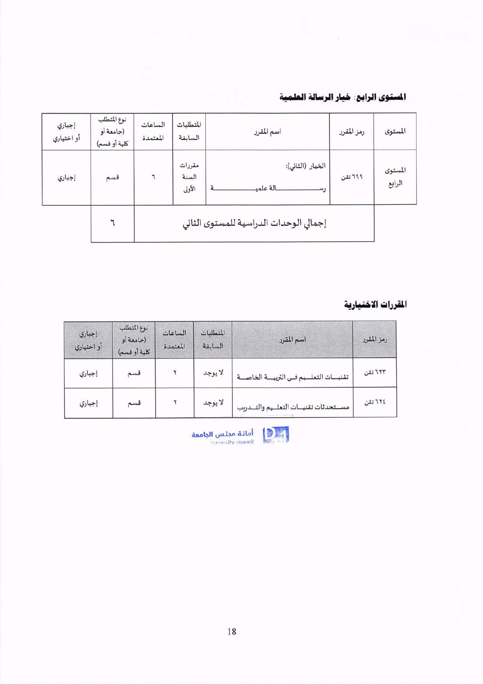### المستوى الرابع: خيار الرسالة العلمية

| إجباري<br>أو اختياري | نوع المتطلب<br>(جامعة أو<br>كلية أو قسم) | الساعات<br>المعتمدة | المتطلبات<br>السابقة      | اسم المقرر                              | رمز المقرر | المستوى           |
|----------------------|------------------------------------------|---------------------|---------------------------|-----------------------------------------|------------|-------------------|
| إجباري               | قسم                                      | ٦                   | مقررات<br>السنة<br>الأولى | الخيار (الثاني):<br>بالة علميــ<br>1111 | ٦٩٩ تقن    | المستوى<br>الرابع |
|                      |                                          |                     |                           | إجمالي الوحدات الدراسية للمستوى الثاني  |            |                   |

### المقررات الاختيارية

| إجباري<br>أو اختياري | نوع المتطلب<br>(جامعة أو<br>كلبة أو قسم) | الساعات<br>المعتمدة | المتطلبات<br>السابقة | اسم المقرر                            | رمز المقرر |
|----------------------|------------------------------------------|---------------------|----------------------|---------------------------------------|------------|
| إجباري               | قسم                                      |                     | لا يوجد              | تقنيسات التعلميم فمى التربيسة الخاصسة | ٦٢٣ تقن    |
| إجباري               | قسم                                      |                     | لا يوجد              | مستحدثات تقنيات التعليم والتسريب      | ٢٢٤ تقن    |



أمانة مجلس الجامعة